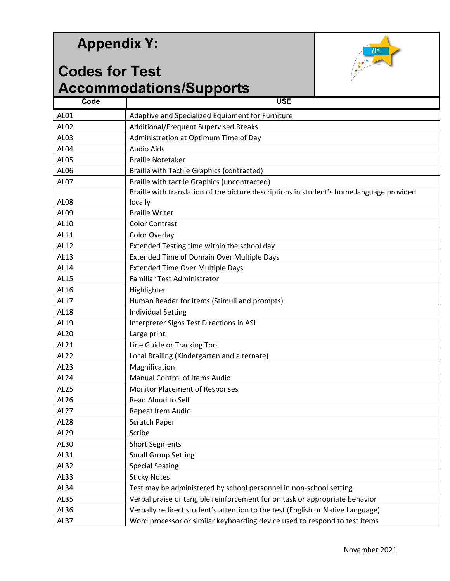## **Appendix Y:**

## **Codes for Test Accommodations/Supports**



|                  | ACCOMMODIATIONS/SUPPOLIS                                                                 |
|------------------|------------------------------------------------------------------------------------------|
| Code             | <b>USE</b>                                                                               |
| AL01             | Adaptive and Specialized Equipment for Furniture                                         |
| AL02             | Additional/Frequent Supervised Breaks                                                    |
| AL03             | Administration at Optimum Time of Day                                                    |
| AL04             | <b>Audio Aids</b>                                                                        |
| <b>AL05</b>      | <b>Braille Notetaker</b>                                                                 |
| AL06             | <b>Braille with Tactile Graphics (contracted)</b>                                        |
| <b>AL07</b>      | Braille with tactile Graphics (uncontracted)                                             |
|                  | Braille with translation of the picture descriptions in student's home language provided |
| <b>AL08</b>      | locally                                                                                  |
| AL09             | <b>Braille Writer</b>                                                                    |
| AL10             | <b>Color Contrast</b>                                                                    |
| AL11             | Color Overlay                                                                            |
| AL12             | Extended Testing time within the school day                                              |
| AL13             | <b>Extended Time of Domain Over Multiple Days</b>                                        |
| AL14             | <b>Extended Time Over Multiple Days</b>                                                  |
| AL15             | Familiar Test Administrator                                                              |
| AL16             | Highlighter                                                                              |
| AL17             | Human Reader for items (Stimuli and prompts)                                             |
| AL18             | <b>Individual Setting</b>                                                                |
| AL19             | Interpreter Signs Test Directions in ASL                                                 |
| AL20             | Large print                                                                              |
| AL21             | Line Guide or Tracking Tool                                                              |
| AL22             | Local Brailing (Kindergarten and alternate)                                              |
| AL23             | Magnification                                                                            |
| AL <sub>24</sub> | Manual Control of Items Audio                                                            |
| AL25             | Monitor Placement of Responses                                                           |
| AL26             | Read Aloud to Self                                                                       |
| AL27             | Repeat Item Audio                                                                        |
| AL28             | Scratch Paper                                                                            |
| AL29             | Scribe                                                                                   |
| AL30             | <b>Short Segments</b>                                                                    |
| AL31             | <b>Small Group Setting</b>                                                               |
| AL32             | <b>Special Seating</b>                                                                   |
| AL33             | <b>Sticky Notes</b>                                                                      |
| AL34             | Test may be administered by school personnel in non-school setting                       |
| <b>AL35</b>      | Verbal praise or tangible reinforcement for on task or appropriate behavior              |
| AL36             | Verbally redirect student's attention to the test (English or Native Language)           |
| AL37             | Word processor or similar keyboarding device used to respond to test items               |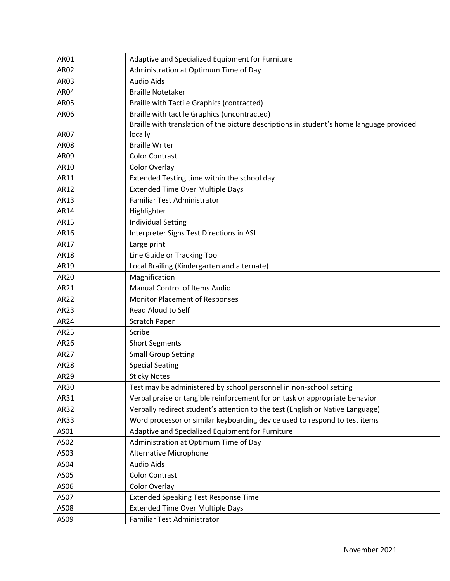| AR01             | Adaptive and Specialized Equipment for Furniture                                         |
|------------------|------------------------------------------------------------------------------------------|
| <b>AR02</b>      | Administration at Optimum Time of Day                                                    |
| AR03             | <b>Audio Aids</b>                                                                        |
| <b>AR04</b>      | <b>Braille Notetaker</b>                                                                 |
| <b>AR05</b>      | <b>Braille with Tactile Graphics (contracted)</b>                                        |
| AR06             | Braille with tactile Graphics (uncontracted)                                             |
|                  | Braille with translation of the picture descriptions in student's home language provided |
| <b>AR07</b>      | locally                                                                                  |
| <b>AR08</b>      | <b>Braille Writer</b>                                                                    |
| AR09             | <b>Color Contrast</b>                                                                    |
| AR10             | Color Overlay                                                                            |
| AR11             | Extended Testing time within the school day                                              |
| AR12             | <b>Extended Time Over Multiple Days</b>                                                  |
| AR13             | Familiar Test Administrator                                                              |
| AR14             | Highlighter                                                                              |
| AR15             | <b>Individual Setting</b>                                                                |
| AR16             | Interpreter Signs Test Directions in ASL                                                 |
| AR17             | Large print                                                                              |
| AR18             | Line Guide or Tracking Tool                                                              |
| AR19             | Local Brailing (Kindergarten and alternate)                                              |
| AR20             | Magnification                                                                            |
| AR21             | Manual Control of Items Audio                                                            |
| AR22             | <b>Monitor Placement of Responses</b>                                                    |
| AR23             | Read Aloud to Self                                                                       |
| AR24             | <b>Scratch Paper</b>                                                                     |
| AR25             | Scribe                                                                                   |
| AR26             | <b>Short Segments</b>                                                                    |
| AR27             | <b>Small Group Setting</b>                                                               |
| <b>AR28</b>      | <b>Special Seating</b>                                                                   |
| AR29             | <b>Sticky Notes</b>                                                                      |
| AR30             | Test may be administered by school personnel in non-school setting                       |
| AR31             | Verbal praise or tangible reinforcement for on task or appropriate behavior              |
| AR32             | Verbally redirect student's attention to the test (English or Native Language)           |
| AR33             | Word processor or similar keyboarding device used to respond to test items               |
| AS01             | Adaptive and Specialized Equipment for Furniture                                         |
| AS02             | Administration at Optimum Time of Day                                                    |
| AS03             | Alternative Microphone                                                                   |
| AS04             | <b>Audio Aids</b>                                                                        |
| AS05             | <b>Color Contrast</b>                                                                    |
| AS06             | Color Overlay                                                                            |
| AS07             | <b>Extended Speaking Test Response Time</b>                                              |
| AS08             | <b>Extended Time Over Multiple Days</b>                                                  |
| AS <sub>09</sub> | Familiar Test Administrator                                                              |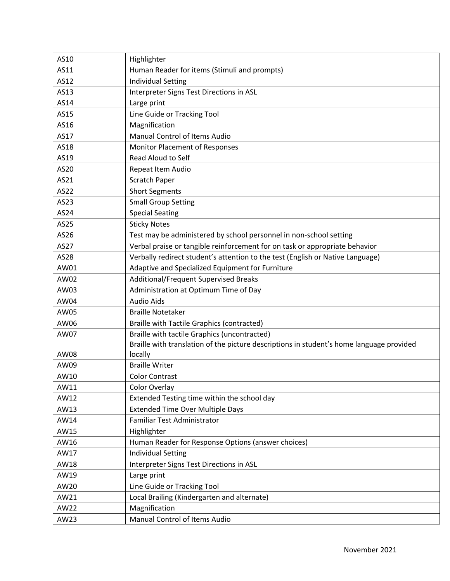| AS10 | Highlighter                                                                              |
|------|------------------------------------------------------------------------------------------|
| AS11 | Human Reader for items (Stimuli and prompts)                                             |
| AS12 | <b>Individual Setting</b>                                                                |
| AS13 | Interpreter Signs Test Directions in ASL                                                 |
| AS14 | Large print                                                                              |
| AS15 | Line Guide or Tracking Tool                                                              |
| AS16 | Magnification                                                                            |
| AS17 | Manual Control of Items Audio                                                            |
| AS18 | Monitor Placement of Responses                                                           |
| AS19 | <b>Read Aloud to Self</b>                                                                |
| AS20 | Repeat Item Audio                                                                        |
| AS21 | <b>Scratch Paper</b>                                                                     |
| AS22 | <b>Short Segments</b>                                                                    |
| AS23 | <b>Small Group Setting</b>                                                               |
| AS24 | <b>Special Seating</b>                                                                   |
| AS25 | <b>Sticky Notes</b>                                                                      |
| AS26 | Test may be administered by school personnel in non-school setting                       |
| AS27 | Verbal praise or tangible reinforcement for on task or appropriate behavior              |
| AS28 | Verbally redirect student's attention to the test (English or Native Language)           |
| AW01 | Adaptive and Specialized Equipment for Furniture                                         |
| AW02 | Additional/Frequent Supervised Breaks                                                    |
| AW03 | Administration at Optimum Time of Day                                                    |
| AW04 | <b>Audio Aids</b>                                                                        |
| AW05 | <b>Braille Notetaker</b>                                                                 |
| AW06 | <b>Braille with Tactile Graphics (contracted)</b>                                        |
| AW07 | Braille with tactile Graphics (uncontracted)                                             |
|      | Braille with translation of the picture descriptions in student's home language provided |
| AW08 | locally                                                                                  |
| AW09 | <b>Braille Writer</b>                                                                    |
| AW10 | <b>Color Contrast</b>                                                                    |
| AW11 | Color Overlay                                                                            |
| AW12 | Extended Testing time within the school day                                              |
| AW13 | <b>Extended Time Over Multiple Days</b>                                                  |
| AW14 | Familiar Test Administrator                                                              |
| AW15 | Highlighter                                                                              |
| AW16 | Human Reader for Response Options (answer choices)                                       |
| AW17 | <b>Individual Setting</b>                                                                |
| AW18 | Interpreter Signs Test Directions in ASL                                                 |
| AW19 | Large print                                                                              |
| AW20 | Line Guide or Tracking Tool                                                              |
| AW21 | Local Brailing (Kindergarten and alternate)                                              |
| AW22 | Magnification                                                                            |
| AW23 | Manual Control of Items Audio                                                            |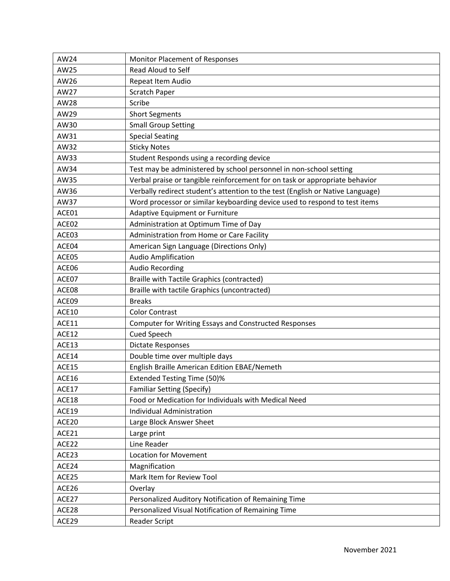| AW24        | Monitor Placement of Responses                                                 |
|-------------|--------------------------------------------------------------------------------|
| AW25        | Read Aloud to Self                                                             |
| AW26        | Repeat Item Audio                                                              |
| AW27        | <b>Scratch Paper</b>                                                           |
| <b>AW28</b> | Scribe                                                                         |
| AW29        | <b>Short Segments</b>                                                          |
| AW30        | <b>Small Group Setting</b>                                                     |
| AW31        | <b>Special Seating</b>                                                         |
| AW32        | <b>Sticky Notes</b>                                                            |
| AW33        | Student Responds using a recording device                                      |
| AW34        | Test may be administered by school personnel in non-school setting             |
| AW35        | Verbal praise or tangible reinforcement for on task or appropriate behavior    |
| AW36        | Verbally redirect student's attention to the test (English or Native Language) |
| AW37        | Word processor or similar keyboarding device used to respond to test items     |
| ACE01       | Adaptive Equipment or Furniture                                                |
| ACE02       | Administration at Optimum Time of Day                                          |
| ACE03       | Administration from Home or Care Facility                                      |
| ACE04       | American Sign Language (Directions Only)                                       |
| ACE05       | <b>Audio Amplification</b>                                                     |
| ACE06       | <b>Audio Recording</b>                                                         |
| ACE07       | <b>Braille with Tactile Graphics (contracted)</b>                              |
| ACE08       | Braille with tactile Graphics (uncontracted)                                   |
| ACE09       | <b>Breaks</b>                                                                  |
| ACE10       | <b>Color Contrast</b>                                                          |
| ACE11       | Computer for Writing Essays and Constructed Responses                          |
| ACE12       | Cued Speech                                                                    |
| ACE13       | Dictate Responses                                                              |
| ACE14       | Double time over multiple days                                                 |
| ACE15       | English Braille American Edition EBAE/Nemeth                                   |
| ACE16       | Extended Testing Time (50)%                                                    |
| ACE17       | <b>Familiar Setting (Specify)</b>                                              |
| ACE18       | Food or Medication for Individuals with Medical Need                           |
| ACE19       | <b>Individual Administration</b>                                               |
| ACE20       | Large Block Answer Sheet                                                       |
| ACE21       | Large print                                                                    |
| ACE22       | Line Reader                                                                    |
| ACE23       | <b>Location for Movement</b>                                                   |
| ACE24       | Magnification                                                                  |
| ACE25       | Mark Item for Review Tool                                                      |
| ACE26       | Overlay                                                                        |
| ACE27       | Personalized Auditory Notification of Remaining Time                           |
| ACE28       | Personalized Visual Notification of Remaining Time                             |
| ACE29       | Reader Script                                                                  |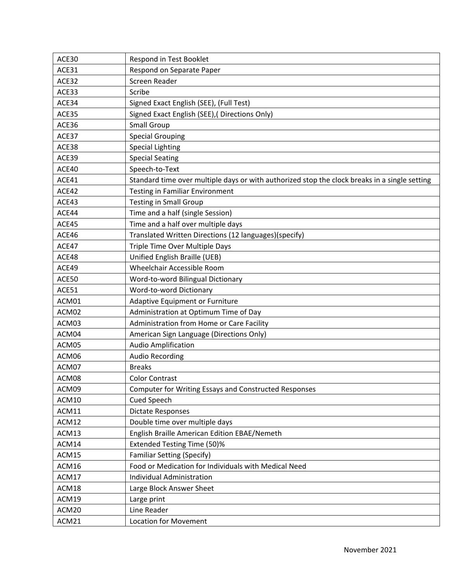| ACE30 | Respond in Test Booklet                                                                       |
|-------|-----------------------------------------------------------------------------------------------|
| ACE31 | Respond on Separate Paper                                                                     |
| ACE32 | Screen Reader                                                                                 |
| ACE33 | Scribe                                                                                        |
| ACE34 | Signed Exact English (SEE), (Full Test)                                                       |
| ACE35 | Signed Exact English (SEE), (Directions Only)                                                 |
| ACE36 | <b>Small Group</b>                                                                            |
| ACE37 | <b>Special Grouping</b>                                                                       |
| ACE38 | <b>Special Lighting</b>                                                                       |
| ACE39 | <b>Special Seating</b>                                                                        |
| ACE40 | Speech-to-Text                                                                                |
| ACE41 | Standard time over multiple days or with authorized stop the clock breaks in a single setting |
| ACE42 | <b>Testing in Familiar Environment</b>                                                        |
| ACE43 | <b>Testing in Small Group</b>                                                                 |
| ACE44 | Time and a half (single Session)                                                              |
| ACE45 | Time and a half over multiple days                                                            |
| ACE46 | Translated Written Directions (12 languages)(specify)                                         |
| ACE47 | Triple Time Over Multiple Days                                                                |
| ACE48 | Unified English Braille (UEB)                                                                 |
| ACE49 | Wheelchair Accessible Room                                                                    |
| ACE50 | Word-to-word Bilingual Dictionary                                                             |
| ACE51 | Word-to-word Dictionary                                                                       |
| ACM01 | Adaptive Equipment or Furniture                                                               |
| ACM02 | Administration at Optimum Time of Day                                                         |
| ACM03 | Administration from Home or Care Facility                                                     |
| ACM04 | American Sign Language (Directions Only)                                                      |
| ACM05 | <b>Audio Amplification</b>                                                                    |
| ACM06 | <b>Audio Recording</b>                                                                        |
| ACM07 | <b>Breaks</b>                                                                                 |
| ACM08 | <b>Color Contrast</b>                                                                         |
| ACM09 | <b>Computer for Writing Essays and Constructed Responses</b>                                  |
| ACM10 | Cued Speech                                                                                   |
| ACM11 | <b>Dictate Responses</b>                                                                      |
| ACM12 | Double time over multiple days                                                                |
| ACM13 | English Braille American Edition EBAE/Nemeth                                                  |
| ACM14 | <b>Extended Testing Time (50)%</b>                                                            |
| ACM15 | <b>Familiar Setting (Specify)</b>                                                             |
| ACM16 | Food or Medication for Individuals with Medical Need                                          |
| ACM17 | <b>Individual Administration</b>                                                              |
| ACM18 | Large Block Answer Sheet                                                                      |
| ACM19 | Large print                                                                                   |
| ACM20 | Line Reader                                                                                   |
| ACM21 | <b>Location for Movement</b>                                                                  |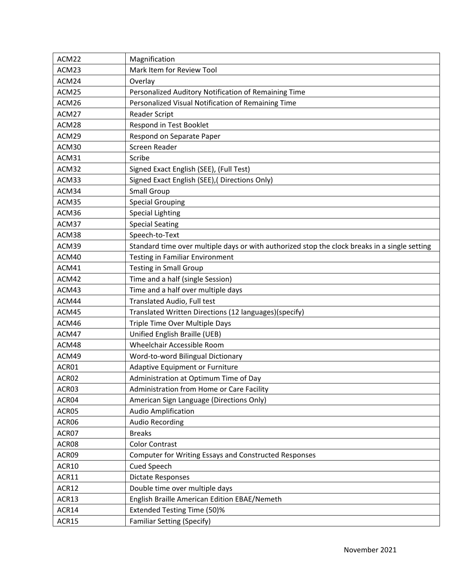| ACM22 | Magnification                                                                                 |
|-------|-----------------------------------------------------------------------------------------------|
| ACM23 | Mark Item for Review Tool                                                                     |
| ACM24 | Overlay                                                                                       |
| ACM25 | Personalized Auditory Notification of Remaining Time                                          |
| ACM26 | Personalized Visual Notification of Remaining Time                                            |
| ACM27 | <b>Reader Script</b>                                                                          |
| ACM28 | Respond in Test Booklet                                                                       |
| ACM29 | Respond on Separate Paper                                                                     |
| ACM30 | Screen Reader                                                                                 |
| ACM31 | Scribe                                                                                        |
| ACM32 | Signed Exact English (SEE), (Full Test)                                                       |
| ACM33 | Signed Exact English (SEE), (Directions Only)                                                 |
| ACM34 | <b>Small Group</b>                                                                            |
| ACM35 | <b>Special Grouping</b>                                                                       |
| ACM36 | <b>Special Lighting</b>                                                                       |
| ACM37 | <b>Special Seating</b>                                                                        |
| ACM38 | Speech-to-Text                                                                                |
| ACM39 | Standard time over multiple days or with authorized stop the clock breaks in a single setting |
| ACM40 | <b>Testing in Familiar Environment</b>                                                        |
| ACM41 | <b>Testing in Small Group</b>                                                                 |
| ACM42 | Time and a half (single Session)                                                              |
| ACM43 | Time and a half over multiple days                                                            |
| ACM44 | Translated Audio, Full test                                                                   |
| ACM45 | Translated Written Directions (12 languages)(specify)                                         |
| ACM46 | Triple Time Over Multiple Days                                                                |
| ACM47 | Unified English Braille (UEB)                                                                 |
| ACM48 | Wheelchair Accessible Room                                                                    |
| ACM49 | Word-to-word Bilingual Dictionary                                                             |
| ACR01 | Adaptive Equipment or Furniture                                                               |
| ACR02 | Administration at Optimum Time of Day                                                         |
| ACR03 | Administration from Home or Care Facility                                                     |
| ACR04 | American Sign Language (Directions Only)                                                      |
| ACR05 | <b>Audio Amplification</b>                                                                    |
| ACR06 | <b>Audio Recording</b>                                                                        |
| ACR07 | <b>Breaks</b>                                                                                 |
| ACR08 | <b>Color Contrast</b>                                                                         |
| ACR09 | Computer for Writing Essays and Constructed Responses                                         |
| ACR10 | <b>Cued Speech</b>                                                                            |
| ACR11 | <b>Dictate Responses</b>                                                                      |
| ACR12 | Double time over multiple days                                                                |
| ACR13 | English Braille American Edition EBAE/Nemeth                                                  |
| ACR14 | <b>Extended Testing Time (50)%</b>                                                            |
| ACR15 | <b>Familiar Setting (Specify)</b>                                                             |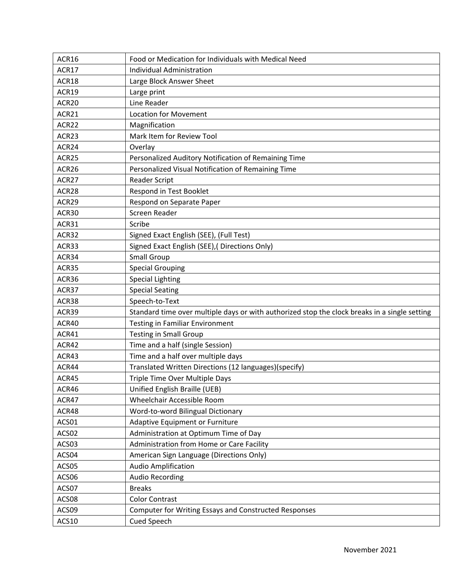| ACR16             | Food or Medication for Individuals with Medical Need                                          |
|-------------------|-----------------------------------------------------------------------------------------------|
| ACR17             | <b>Individual Administration</b>                                                              |
| ACR18             | Large Block Answer Sheet                                                                      |
| ACR19             | Large print                                                                                   |
| ACR <sub>20</sub> | Line Reader                                                                                   |
| ACR21             | <b>Location for Movement</b>                                                                  |
| ACR22             | Magnification                                                                                 |
| ACR23             | Mark Item for Review Tool                                                                     |
| ACR24             | Overlay                                                                                       |
| ACR25             | Personalized Auditory Notification of Remaining Time                                          |
| ACR26             | Personalized Visual Notification of Remaining Time                                            |
| ACR27             | <b>Reader Script</b>                                                                          |
| ACR28             | Respond in Test Booklet                                                                       |
| ACR29             | Respond on Separate Paper                                                                     |
| ACR30             | Screen Reader                                                                                 |
| ACR31             | Scribe                                                                                        |
| ACR32             | Signed Exact English (SEE), (Full Test)                                                       |
| ACR33             | Signed Exact English (SEE), (Directions Only)                                                 |
| ACR34             | <b>Small Group</b>                                                                            |
| ACR35             | <b>Special Grouping</b>                                                                       |
| ACR36             | <b>Special Lighting</b>                                                                       |
| ACR37             | <b>Special Seating</b>                                                                        |
| ACR38             | Speech-to-Text                                                                                |
| ACR39             | Standard time over multiple days or with authorized stop the clock breaks in a single setting |
| ACR40             | <b>Testing in Familiar Environment</b>                                                        |
| ACR41             | <b>Testing in Small Group</b>                                                                 |
| ACR42             | Time and a half (single Session)                                                              |
| ACR43             | Time and a half over multiple days                                                            |
| ACR44             | Translated Written Directions (12 languages)(specify)                                         |
| ACR45             | Triple Time Over Multiple Days                                                                |
| ACR46             | Unified English Braille (UEB)                                                                 |
| ACR47             | Wheelchair Accessible Room                                                                    |
| ACR48             | Word-to-word Bilingual Dictionary                                                             |
| ACS01             | <b>Adaptive Equipment or Furniture</b>                                                        |
| ACS02             | Administration at Optimum Time of Day                                                         |
| ACS03             | Administration from Home or Care Facility                                                     |
| ACS04             | American Sign Language (Directions Only)                                                      |
| ACS05             | <b>Audio Amplification</b>                                                                    |
| ACS06             | <b>Audio Recording</b>                                                                        |
| ACS07             | <b>Breaks</b>                                                                                 |
| ACS08             | <b>Color Contrast</b>                                                                         |
| ACS09             | Computer for Writing Essays and Constructed Responses                                         |
| ACS10             | Cued Speech                                                                                   |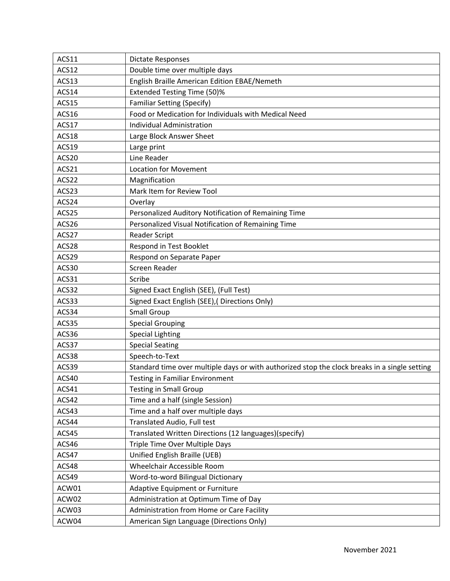| ACS11 | <b>Dictate Responses</b>                                                                      |
|-------|-----------------------------------------------------------------------------------------------|
| ACS12 | Double time over multiple days                                                                |
| ACS13 | English Braille American Edition EBAE/Nemeth                                                  |
| ACS14 | <b>Extended Testing Time (50)%</b>                                                            |
| ACS15 | Familiar Setting (Specify)                                                                    |
| ACS16 | Food or Medication for Individuals with Medical Need                                          |
| ACS17 | Individual Administration                                                                     |
| ACS18 | Large Block Answer Sheet                                                                      |
| ACS19 | Large print                                                                                   |
| ACS20 | Line Reader                                                                                   |
| ACS21 | <b>Location for Movement</b>                                                                  |
| ACS22 | Magnification                                                                                 |
| ACS23 | Mark Item for Review Tool                                                                     |
| ACS24 | Overlay                                                                                       |
| ACS25 | Personalized Auditory Notification of Remaining Time                                          |
| ACS26 | Personalized Visual Notification of Remaining Time                                            |
| ACS27 | <b>Reader Script</b>                                                                          |
| ACS28 | Respond in Test Booklet                                                                       |
| ACS29 | Respond on Separate Paper                                                                     |
| ACS30 | Screen Reader                                                                                 |
| ACS31 | Scribe                                                                                        |
| ACS32 | Signed Exact English (SEE), (Full Test)                                                       |
| ACS33 | Signed Exact English (SEE), (Directions Only)                                                 |
| ACS34 | <b>Small Group</b>                                                                            |
| ACS35 | <b>Special Grouping</b>                                                                       |
| ACS36 | <b>Special Lighting</b>                                                                       |
| ACS37 | <b>Special Seating</b>                                                                        |
| ACS38 | Speech-to-Text                                                                                |
| ACS39 | Standard time over multiple days or with authorized stop the clock breaks in a single setting |
| ACS40 | <b>Testing in Familiar Environment</b>                                                        |
| ACS41 | <b>Testing in Small Group</b>                                                                 |
| ACS42 | Time and a half (single Session)                                                              |
| ACS43 | Time and a half over multiple days                                                            |
| ACS44 | Translated Audio, Full test                                                                   |
| ACS45 | Translated Written Directions (12 languages)(specify)                                         |
| ACS46 | Triple Time Over Multiple Days                                                                |
| ACS47 | Unified English Braille (UEB)                                                                 |
| ACS48 | Wheelchair Accessible Room                                                                    |
| ACS49 | Word-to-word Bilingual Dictionary                                                             |
| ACW01 | Adaptive Equipment or Furniture                                                               |
| ACW02 | Administration at Optimum Time of Day                                                         |
| ACW03 | Administration from Home or Care Facility                                                     |
| ACW04 | American Sign Language (Directions Only)                                                      |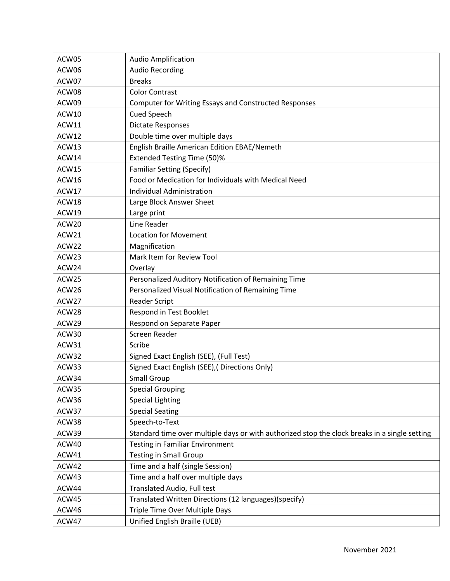| ACW05 | <b>Audio Amplification</b>                                                                    |
|-------|-----------------------------------------------------------------------------------------------|
| ACW06 | <b>Audio Recording</b>                                                                        |
| ACW07 | <b>Breaks</b>                                                                                 |
| ACW08 | <b>Color Contrast</b>                                                                         |
| ACW09 | Computer for Writing Essays and Constructed Responses                                         |
| ACW10 | Cued Speech                                                                                   |
| ACW11 | <b>Dictate Responses</b>                                                                      |
| ACW12 | Double time over multiple days                                                                |
| ACW13 | English Braille American Edition EBAE/Nemeth                                                  |
| ACW14 | <b>Extended Testing Time (50)%</b>                                                            |
| ACW15 | <b>Familiar Setting (Specify)</b>                                                             |
| ACW16 | Food or Medication for Individuals with Medical Need                                          |
| ACW17 | Individual Administration                                                                     |
| ACW18 | Large Block Answer Sheet                                                                      |
| ACW19 | Large print                                                                                   |
| ACW20 | Line Reader                                                                                   |
| ACW21 | <b>Location for Movement</b>                                                                  |
| ACW22 | Magnification                                                                                 |
| ACW23 | Mark Item for Review Tool                                                                     |
| ACW24 | Overlay                                                                                       |
| ACW25 | Personalized Auditory Notification of Remaining Time                                          |
| ACW26 | Personalized Visual Notification of Remaining Time                                            |
| ACW27 | <b>Reader Script</b>                                                                          |
| ACW28 | Respond in Test Booklet                                                                       |
| ACW29 | Respond on Separate Paper                                                                     |
| ACW30 | Screen Reader                                                                                 |
| ACW31 | Scribe                                                                                        |
| ACW32 | Signed Exact English (SEE), (Full Test)                                                       |
| ACW33 | Signed Exact English (SEE), (Directions Only)                                                 |
| ACW34 | <b>Small Group</b>                                                                            |
| ACW35 | <b>Special Grouping</b>                                                                       |
| ACW36 | <b>Special Lighting</b>                                                                       |
| ACW37 | <b>Special Seating</b>                                                                        |
| ACW38 | Speech-to-Text                                                                                |
| ACW39 | Standard time over multiple days or with authorized stop the clock breaks in a single setting |
| ACW40 | <b>Testing in Familiar Environment</b>                                                        |
| ACW41 | <b>Testing in Small Group</b>                                                                 |
| ACW42 | Time and a half (single Session)                                                              |
| ACW43 | Time and a half over multiple days                                                            |
| ACW44 | Translated Audio, Full test                                                                   |
| ACW45 | Translated Written Directions (12 languages)(specify)                                         |
| ACW46 | Triple Time Over Multiple Days                                                                |
| ACW47 | Unified English Braille (UEB)                                                                 |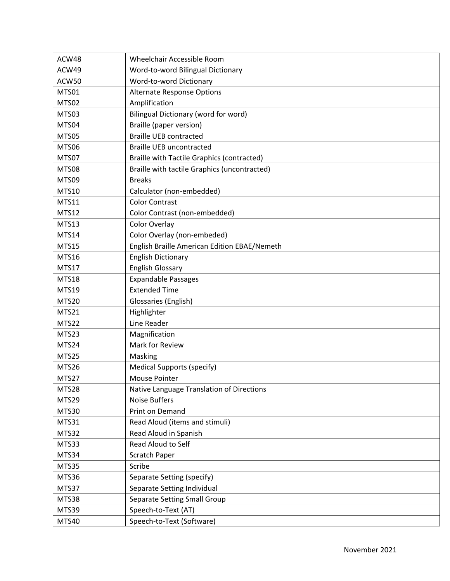| ACW48        | Wheelchair Accessible Room                        |
|--------------|---------------------------------------------------|
| ACW49        | Word-to-word Bilingual Dictionary                 |
| ACW50        | Word-to-word Dictionary                           |
| MTS01        | <b>Alternate Response Options</b>                 |
| MTS02        | Amplification                                     |
| MTS03        | <b>Bilingual Dictionary (word for word)</b>       |
| MTS04        | Braille (paper version)                           |
| MTS05        | <b>Braille UEB contracted</b>                     |
| MTS06        | <b>Braille UEB uncontracted</b>                   |
| MTS07        | <b>Braille with Tactile Graphics (contracted)</b> |
| <b>MTS08</b> | Braille with tactile Graphics (uncontracted)      |
| MTS09        | <b>Breaks</b>                                     |
| <b>MTS10</b> | Calculator (non-embedded)                         |
| <b>MTS11</b> | <b>Color Contrast</b>                             |
| <b>MTS12</b> | Color Contrast (non-embedded)                     |
| MTS13        | Color Overlay                                     |
| <b>MTS14</b> | Color Overlay (non-embeded)                       |
| <b>MTS15</b> | English Braille American Edition EBAE/Nemeth      |
| <b>MTS16</b> | <b>English Dictionary</b>                         |
| MTS17        | <b>English Glossary</b>                           |
| <b>MTS18</b> | <b>Expandable Passages</b>                        |
| <b>MTS19</b> | <b>Extended Time</b>                              |
| MTS20        | Glossaries (English)                              |
| MTS21        | Highlighter                                       |
| MTS22        | Line Reader                                       |
| MTS23        | Magnification                                     |
| MTS24        | Mark for Review                                   |
| MTS25        | Masking                                           |
| MTS26        | <b>Medical Supports (specify)</b>                 |
| MTS27        | <b>Mouse Pointer</b>                              |
| MTS28        | Native Language Translation of Directions         |
| MTS29        | <b>Noise Buffers</b>                              |
| MTS30        | Print on Demand                                   |
| MTS31        | Read Aloud (items and stimuli)                    |
| MTS32        | Read Aloud in Spanish                             |
| MTS33        | Read Aloud to Self                                |
| MTS34        | <b>Scratch Paper</b>                              |
| MTS35        | Scribe                                            |
| MTS36        | Separate Setting (specify)                        |
| MTS37        | Separate Setting Individual                       |
| MTS38        | Separate Setting Small Group                      |
| MTS39        | Speech-to-Text (AT)                               |
| MTS40        | Speech-to-Text (Software)                         |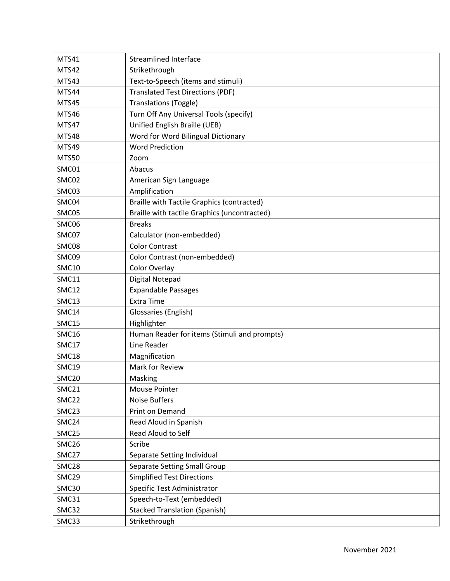| <b>MTS41</b>      | <b>Streamlined Interface</b>                      |
|-------------------|---------------------------------------------------|
| MTS42             | Strikethrough                                     |
| MTS43             | Text-to-Speech (items and stimuli)                |
| MTS44             | <b>Translated Test Directions (PDF)</b>           |
| MTS45             | Translations (Toggle)                             |
| MTS46             | Turn Off Any Universal Tools (specify)            |
| MTS47             | Unified English Braille (UEB)                     |
| <b>MTS48</b>      | Word for Word Bilingual Dictionary                |
| MTS49             | <b>Word Prediction</b>                            |
| <b>MTS50</b>      | Zoom                                              |
| SMC01             | Abacus                                            |
| SMC02             | American Sign Language                            |
| SMC03             | Amplification                                     |
| SMC04             | <b>Braille with Tactile Graphics (contracted)</b> |
| SMC05             | Braille with tactile Graphics (uncontracted)      |
| SMC06             | <b>Breaks</b>                                     |
| SMC07             | Calculator (non-embedded)                         |
| SMC08             | <b>Color Contrast</b>                             |
| SMC09             | Color Contrast (non-embedded)                     |
| <b>SMC10</b>      | Color Overlay                                     |
| <b>SMC11</b>      | Digital Notepad                                   |
| <b>SMC12</b>      | <b>Expandable Passages</b>                        |
| SMC13             | <b>Extra Time</b>                                 |
| SMC14             | Glossaries (English)                              |
| SMC15             | Highlighter                                       |
| <b>SMC16</b>      | Human Reader for items (Stimuli and prompts)      |
| SMC17             | Line Reader                                       |
| SMC18             | Magnification                                     |
| <b>SMC19</b>      | Mark for Review                                   |
| SMC <sub>20</sub> | Masking                                           |
| SMC21             | Mouse Pointer                                     |
| SMC22             | <b>Noise Buffers</b>                              |
| SMC23             | Print on Demand                                   |
| SMC24             | Read Aloud in Spanish                             |
| SMC25             | Read Aloud to Self                                |
| SMC26             | Scribe                                            |
| SMC27             | Separate Setting Individual                       |
| SMC28             | Separate Setting Small Group                      |
| SMC29             | <b>Simplified Test Directions</b>                 |
| SMC30             | Specific Test Administrator                       |
| SMC31             | Speech-to-Text (embedded)                         |
| SMC32             | <b>Stacked Translation (Spanish)</b>              |
| SMC33             | Strikethrough                                     |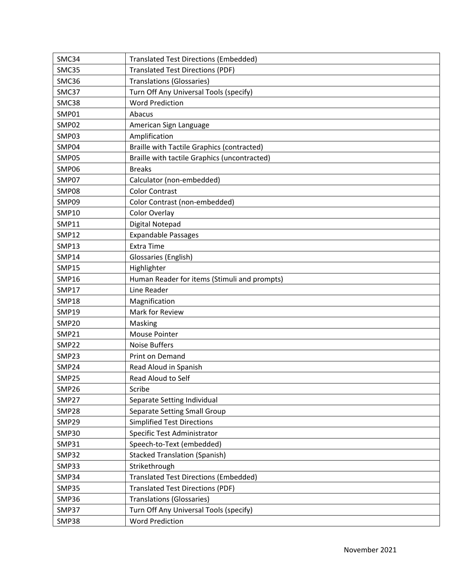| SMC34        | <b>Translated Test Directions (Embedded)</b>      |
|--------------|---------------------------------------------------|
| SMC35        | <b>Translated Test Directions (PDF)</b>           |
| SMC36        | <b>Translations (Glossaries)</b>                  |
| SMC37        | Turn Off Any Universal Tools (specify)            |
| SMC38        | <b>Word Prediction</b>                            |
| SMP01        | Abacus                                            |
| SMP02        | American Sign Language                            |
| SMP03        | Amplification                                     |
| SMP04        | <b>Braille with Tactile Graphics (contracted)</b> |
| SMP05        | Braille with tactile Graphics (uncontracted)      |
| SMP06        | <b>Breaks</b>                                     |
| SMP07        | Calculator (non-embedded)                         |
| SMP08        | <b>Color Contrast</b>                             |
| SMP09        | Color Contrast (non-embedded)                     |
| <b>SMP10</b> | Color Overlay                                     |
| <b>SMP11</b> | Digital Notepad                                   |
| <b>SMP12</b> | <b>Expandable Passages</b>                        |
| <b>SMP13</b> | <b>Extra Time</b>                                 |
| <b>SMP14</b> | Glossaries (English)                              |
| <b>SMP15</b> | Highlighter                                       |
| <b>SMP16</b> | Human Reader for items (Stimuli and prompts)      |
| <b>SMP17</b> | Line Reader                                       |
| <b>SMP18</b> | Magnification                                     |
| <b>SMP19</b> | Mark for Review                                   |
| <b>SMP20</b> | Masking                                           |
| <b>SMP21</b> | <b>Mouse Pointer</b>                              |
| <b>SMP22</b> | <b>Noise Buffers</b>                              |
| SMP23        | Print on Demand                                   |
| SMP24        | Read Aloud in Spanish                             |
| SMP25        | Read Aloud to Self                                |
| SMP26        | Scribe                                            |
| SMP27        | Separate Setting Individual                       |
| SMP28        | Separate Setting Small Group                      |
| SMP29        | <b>Simplified Test Directions</b>                 |
| <b>SMP30</b> | Specific Test Administrator                       |
| <b>SMP31</b> | Speech-to-Text (embedded)                         |
| SMP32        | <b>Stacked Translation (Spanish)</b>              |
| SMP33        | Strikethrough                                     |
| SMP34        | <b>Translated Test Directions (Embedded)</b>      |
| SMP35        | <b>Translated Test Directions (PDF)</b>           |
| SMP36        | <b>Translations (Glossaries)</b>                  |
| SMP37        | Turn Off Any Universal Tools (specify)            |
| SMP38        | <b>Word Prediction</b>                            |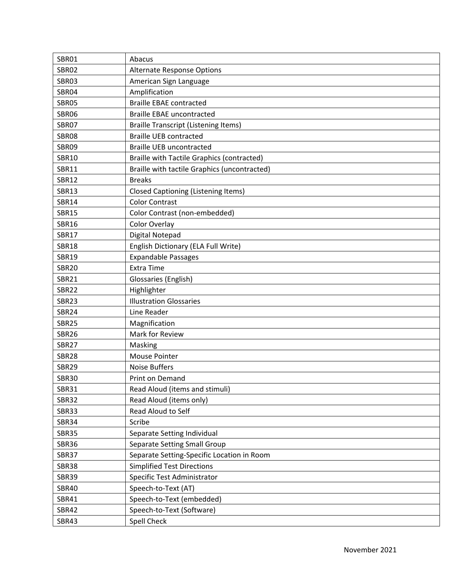| SBR01        | Abacus                                            |
|--------------|---------------------------------------------------|
| SBR02        | Alternate Response Options                        |
| SBR03        | American Sign Language                            |
| SBR04        | Amplification                                     |
| SBR05        | <b>Braille EBAE contracted</b>                    |
| <b>SBR06</b> | <b>Braille EBAE uncontracted</b>                  |
| SBR07        | <b>Braille Transcript (Listening Items)</b>       |
| <b>SBR08</b> | <b>Braille UEB contracted</b>                     |
| SBR09        | <b>Braille UEB uncontracted</b>                   |
| <b>SBR10</b> | <b>Braille with Tactile Graphics (contracted)</b> |
| <b>SBR11</b> | Braille with tactile Graphics (uncontracted)      |
| <b>SBR12</b> | <b>Breaks</b>                                     |
| <b>SBR13</b> | <b>Closed Captioning (Listening Items)</b>        |
| <b>SBR14</b> | <b>Color Contrast</b>                             |
| <b>SBR15</b> | Color Contrast (non-embedded)                     |
| <b>SBR16</b> | Color Overlay                                     |
| <b>SBR17</b> | Digital Notepad                                   |
| <b>SBR18</b> | English Dictionary (ELA Full Write)               |
| <b>SBR19</b> | <b>Expandable Passages</b>                        |
| <b>SBR20</b> | <b>Extra Time</b>                                 |
| <b>SBR21</b> | Glossaries (English)                              |
| <b>SBR22</b> | Highlighter                                       |
| <b>SBR23</b> | <b>Illustration Glossaries</b>                    |
| <b>SBR24</b> | Line Reader                                       |
| <b>SBR25</b> | Magnification                                     |
| <b>SBR26</b> | Mark for Review                                   |
| <b>SBR27</b> | Masking                                           |
| <b>SBR28</b> | <b>Mouse Pointer</b>                              |
| <b>SBR29</b> | <b>Noise Buffers</b>                              |
| <b>SBR30</b> | Print on Demand                                   |
| <b>SBR31</b> | Read Aloud (items and stimuli)                    |
| <b>SBR32</b> | Read Aloud (items only)                           |
| <b>SBR33</b> | Read Aloud to Self                                |
| <b>SBR34</b> | Scribe                                            |
| <b>SBR35</b> | Separate Setting Individual                       |
| <b>SBR36</b> | Separate Setting Small Group                      |
| <b>SBR37</b> | Separate Setting-Specific Location in Room        |
| <b>SBR38</b> | <b>Simplified Test Directions</b>                 |
| <b>SBR39</b> | Specific Test Administrator                       |
| <b>SBR40</b> | Speech-to-Text (AT)                               |
| <b>SBR41</b> | Speech-to-Text (embedded)                         |
| <b>SBR42</b> | Speech-to-Text (Software)                         |
| <b>SBR43</b> | Spell Check                                       |